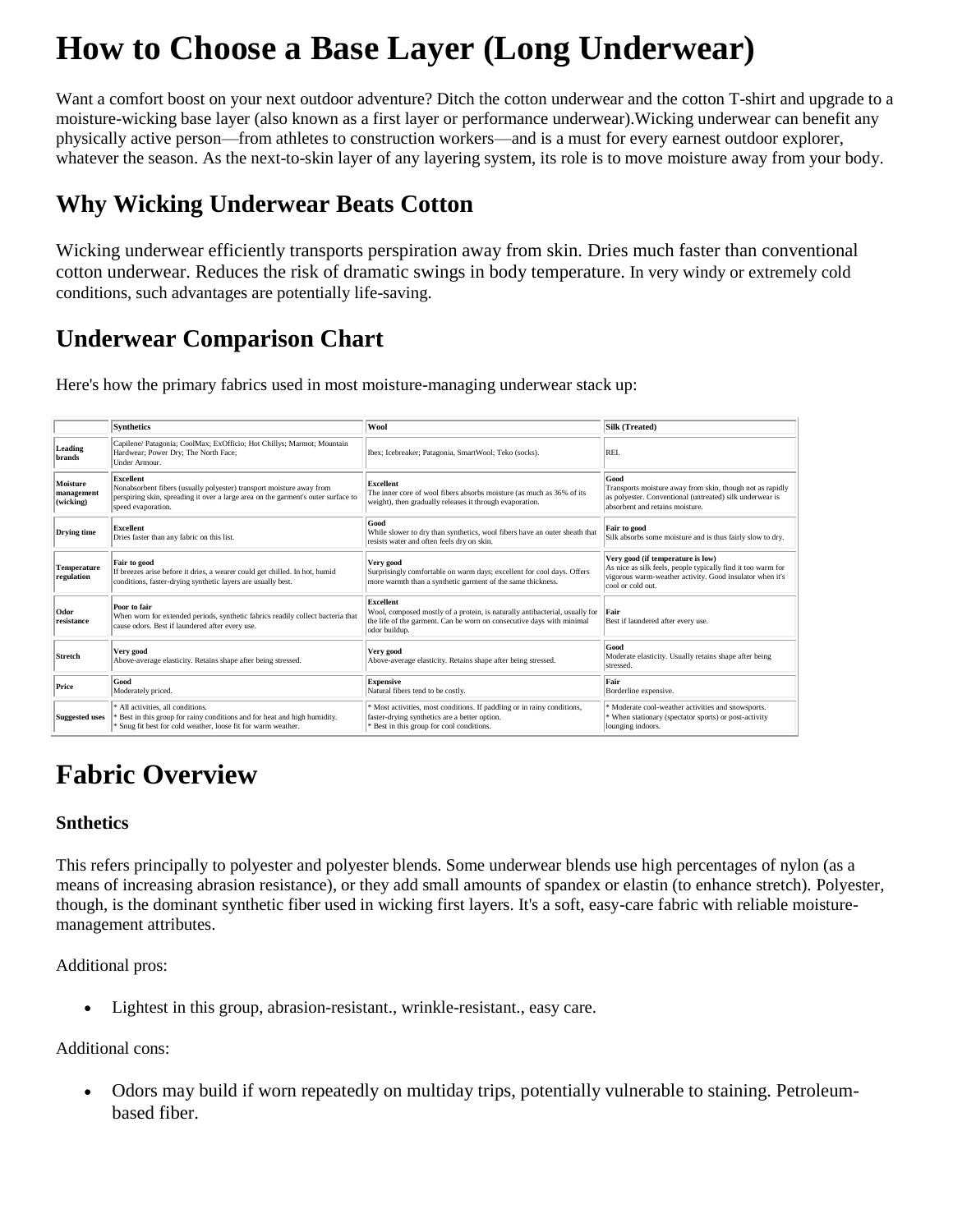# **How to Choose a Base Layer (Long Underwear)**

Want a comfort boost on your next outdoor adventure? Ditch the cotton underwear and the cotton T-shirt and upgrade to a moisture-wicking base layer (also known as a first layer or performance underwear).Wicking underwear can benefit any physically active person—from athletes to construction workers—and is a must for every earnest outdoor explorer, whatever the season. As the next-to-skin layer of any layering system, its role is to move moisture away from your body.

### **Why Wicking Underwear Beats Cotton**

Wicking underwear efficiently transports perspiration away from skin. Dries much faster than conventional cotton underwear. Reduces the risk of dramatic swings in body temperature. In very windy or extremely cold conditions, such advantages are potentially life-saving.

### **Underwear Comparison Chart**

Here's how the primary fabrics used in most moisture-managing underwear stack up:

|                                     | <b>Synthetics</b>                                                                                                                                                                            | Wool                                                                                                                                                                               | Silk (Treated)                                                                                                                                                                     |
|-------------------------------------|----------------------------------------------------------------------------------------------------------------------------------------------------------------------------------------------|------------------------------------------------------------------------------------------------------------------------------------------------------------------------------------|------------------------------------------------------------------------------------------------------------------------------------------------------------------------------------|
| Leading<br><b>brands</b>            | Capilene/ Patagonia; CoolMax; ExOfficio; Hot Chillys; Marmot; Mountain<br>Hardwear; Power Dry; The North Face;<br>Under Armour.                                                              | Ibex; Icebreaker; Patagonia, SmartWool; Teko (socks).                                                                                                                              | REI.                                                                                                                                                                               |
| Moisture<br>management<br>(wicking) | Excellent<br>Nonabsorbent fibers (usually polyester) transport moisture away from<br>perspiring skin, spreading it over a large area on the garment's outer surface to<br>speed evaporation. | <b>Excellent</b><br>The inner core of wool fibers absorbs moisture (as much as 36% of its<br>weight), then gradually releases it through evaporation.                              | Good<br>Transports moisture away from skin, though not as rapidly<br>as polyester. Conventional (untreated) silk underwear is<br>absorbent and retains moisture.                   |
| Drying time                         | Excellent<br>Dries faster than any fabric on this list.                                                                                                                                      | Good<br>While slower to dry than synthetics, wool fibers have an outer sheath that<br>resists water and often feels dry on skin.                                                   | Fair to good<br>Silk absorbs some moisture and is thus fairly slow to dry.                                                                                                         |
| Temperature<br>regulation           | Fair to good<br>If breezes arise before it dries, a wearer could get chilled. In hot, humid<br>conditions, faster-drying synthetic layers are usually best.                                  | Very good<br>Surprisingly comfortable on warm days; excellent for cool days. Offers<br>more warmth than a synthetic garment of the same thickness.                                 | Very good (if temperature is low)<br>As nice as silk feels, people typically find it too warm for<br>vigorous warm-weather activity. Good insulator when it's<br>cool or cold out. |
| Odor<br>resistance                  | Poor to fair<br>When worn for extended periods, synthetic fabrics readily collect bacteria that<br>cause odors. Best if laundered after every use.                                           | Excellent<br>Wool, composed mostly of a protein, is naturally antibacterial, usually for<br>the life of the garment. Can be worn on consecutive days with minimal<br>odor buildup. | Fair<br>Best if laundered after every use.                                                                                                                                         |
| <b>Stretch</b>                      | Very good<br>Above-average elasticity. Retains shape after being stressed.                                                                                                                   | Very good<br>Above-average elasticity. Retains shape after being stressed.                                                                                                         | Good<br>Moderate elasticity. Usually retains shape after being<br>stressed.                                                                                                        |
| Price                               | Good<br>Moderately priced.                                                                                                                                                                   | <b>Expensive</b><br>Natural fibers tend to be costly.                                                                                                                              | Fair<br>Borderline expensive.                                                                                                                                                      |
| <b>Suggested uses</b>               | * All activities, all conditions.<br>Best in this group for rainy conditions and for heat and high humidity.<br>Snug fit best for cold weather, loose fit for warm weather.                  | * Most activities, most conditions. If paddling or in rainy conditions,<br>faster-drying synthetics are a better option.<br>Best in this group for cool conditions.                | * Moderate cool-weather activities and snowsports.<br>* When stationary (spectator sports) or post-activity<br>lounging indoors.                                                   |

## **Fabric Overview**

#### **Snthetics**

This refers principally to polyester and polyester blends. Some underwear blends use high percentages of nylon (as a means of increasing abrasion resistance), or they add small amounts of spandex or elastin (to enhance stretch). Polyester, though, is the dominant synthetic fiber used in wicking first layers. It's a soft, easy-care fabric with reliable moisturemanagement attributes.

Additional pros:

Lightest in this group, abrasion-resistant., wrinkle-resistant., easy care.

#### Additional cons:

 Odors may build if worn repeatedly on multiday trips, potentially vulnerable to staining. Petroleumbased fiber.